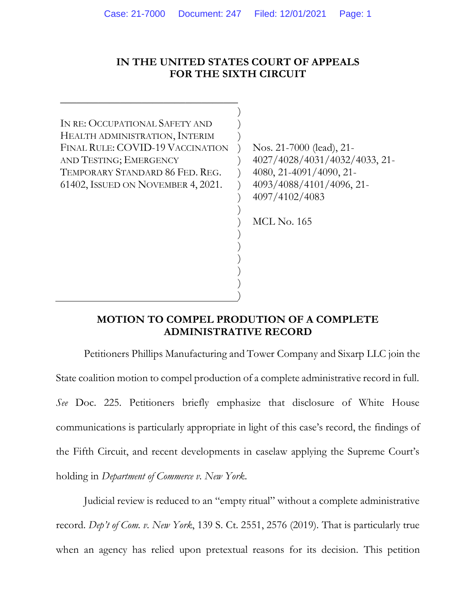### **IN THE UNITED STATES COURT OF APPEALS FOR THE SIXTH CIRCUIT**

) ) ) ) ) ) ) ) ) ) ) ) ) ) ) )

IN RE: OCCUPATIONAL SAFETY AND HEALTH ADMINISTRATION, INTERIM FINAL RULE: COVID-19 VACCINATION AND TESTING; EMERGENCY TEMPORARY STANDARD 86 FED. REG. 61402, ISSUED ON NOVEMBER 4, 2021.

\_\_\_\_\_\_\_\_\_\_\_\_\_\_\_\_\_\_\_\_\_\_\_\_\_\_\_\_\_\_\_\_\_

Nos. 21-7000 (lead), 21- 4027/4028/4031/4032/4033, 21- 4080, 21-4091/4090, 21- 4093/4088/4101/4096, 21- 4097/4102/4083

MCL No. 165

### **MOTION TO COMPEL PRODUTION OF A COMPLETE ADMINISTRATIVE RECORD**

Petitioners Phillips Manufacturing and Tower Company and Sixarp LLC join the State coalition motion to compel production of a complete administrative record in full. *See* Doc. 225. Petitioners briefly emphasize that disclosure of White House communications is particularly appropriate in light of this case's record, the findings of the Fifth Circuit, and recent developments in caselaw applying the Supreme Court's holding in *Department of Commerce v. New York*.

Judicial review is reduced to an "empty ritual" without a complete administrative record. *Dep't of Com. v. New York*, 139 S. Ct. 2551, 2576 (2019). That is particularly true when an agency has relied upon pretextual reasons for its decision. This petition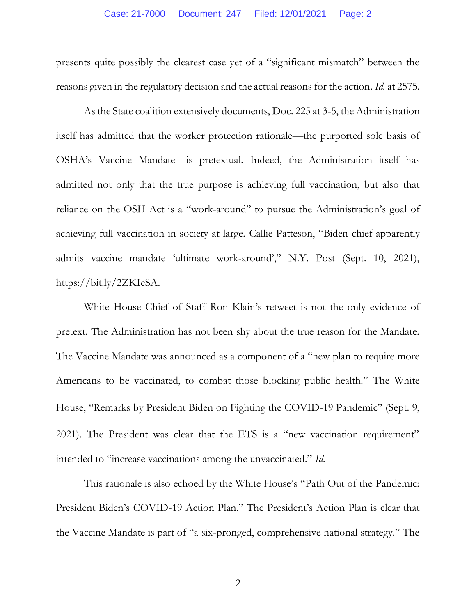presents quite possibly the clearest case yet of a "significant mismatch" between the reasons given in the regulatory decision and the actual reasons for the action. *Id.* at 2575.

As the State coalition extensively documents, Doc. 225 at 3-5, the Administration itself has admitted that the worker protection rationale—the purported sole basis of OSHA's Vaccine Mandate—is pretextual. Indeed, the Administration itself has admitted not only that the true purpose is achieving full vaccination, but also that reliance on the OSH Act is a "work-around" to pursue the Administration's goal of achieving full vaccination in society at large. Callie Patteson, "Biden chief apparently admits vaccine mandate 'ultimate work-around'," N.Y. Post (Sept. 10, 2021), https://bit.ly/2ZKIcSA.

White House Chief of Staff Ron Klain's retweet is not the only evidence of pretext. The Administration has not been shy about the true reason for the Mandate. The Vaccine Mandate was announced as a component of a "new plan to require more Americans to be vaccinated, to combat those blocking public health." The White House, "Remarks by President Biden on Fighting the COVID-19 Pandemic" (Sept. 9, 2021). The President was clear that the ETS is a "new vaccination requirement" intended to "increase vaccinations among the unvaccinated." *Id.*

This rationale is also echoed by the White House's "Path Out of the Pandemic: President Biden's COVID-19 Action Plan." The President's Action Plan is clear that the Vaccine Mandate is part of "a six-pronged, comprehensive national strategy." The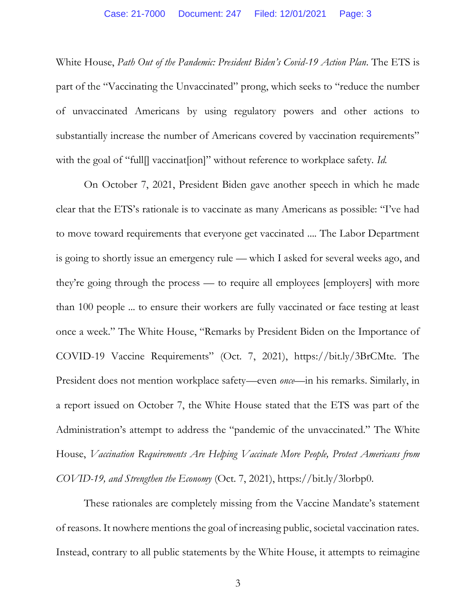White House, *Path Out of the Pandemic: President Biden's Covid-19 Action Plan*. The ETS is part of the "Vaccinating the Unvaccinated" prong, which seeks to "reduce the number of unvaccinated Americans by using regulatory powers and other actions to substantially increase the number of Americans covered by vaccination requirements" with the goal of "full<sup>[]</sup> vaccinat<sup>[1</sup>ion]" without reference to workplace safety. *Id.* 

On October 7, 2021, President Biden gave another speech in which he made clear that the ETS's rationale is to vaccinate as many Americans as possible: "I've had to move toward requirements that everyone get vaccinated .... The Labor Department is going to shortly issue an emergency rule — which I asked for several weeks ago, and they're going through the process — to require all employees [employers] with more than 100 people ... to ensure their workers are fully vaccinated or face testing at least once a week." The White House, "Remarks by President Biden on the Importance of COVID-19 Vaccine Requirements" (Oct. 7, 2021), https://bit.ly/3BrCMte. The President does not mention workplace safety—even *once*—in his remarks. Similarly, in a report issued on October 7, the White House stated that the ETS was part of the Administration's attempt to address the "pandemic of the unvaccinated." The White House, *Vaccination Requirements Are Helping Vaccinate More People, Protect Americans from COVID-19, and Strengthen the Economy* (Oct. 7, 2021), https://bit.ly/3lorbp0.

These rationales are completely missing from the Vaccine Mandate's statement of reasons. It nowhere mentions the goal of increasing public, societal vaccination rates. Instead, contrary to all public statements by the White House, it attempts to reimagine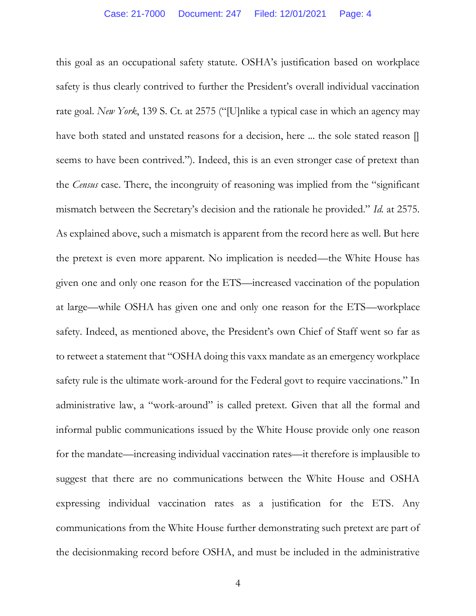this goal as an occupational safety statute. OSHA's justification based on workplace safety is thus clearly contrived to further the President's overall individual vaccination rate goal. *New York*, 139 S. Ct. at 2575 ("[U]nlike a typical case in which an agency may have both stated and unstated reasons for a decision, here ... the sole stated reason [ seems to have been contrived."). Indeed, this is an even stronger case of pretext than the *Census* case. There, the incongruity of reasoning was implied from the "significant mismatch between the Secretary's decision and the rationale he provided." *Id.* at 2575. As explained above, such a mismatch is apparent from the record here as well. But here the pretext is even more apparent. No implication is needed—the White House has given one and only one reason for the ETS—increased vaccination of the population at large—while OSHA has given one and only one reason for the ETS—workplace safety. Indeed, as mentioned above, the President's own Chief of Staff went so far as to retweet a statement that "OSHA doing this vaxx mandate as an emergency workplace safety rule is the ultimate work-around for the Federal govt to require vaccinations." In administrative law, a "work-around" is called pretext. Given that all the formal and informal public communications issued by the White House provide only one reason for the mandate—increasing individual vaccination rates—it therefore is implausible to suggest that there are no communications between the White House and OSHA expressing individual vaccination rates as a justification for the ETS. Any communications from the White House further demonstrating such pretext are part of the decisionmaking record before OSHA, and must be included in the administrative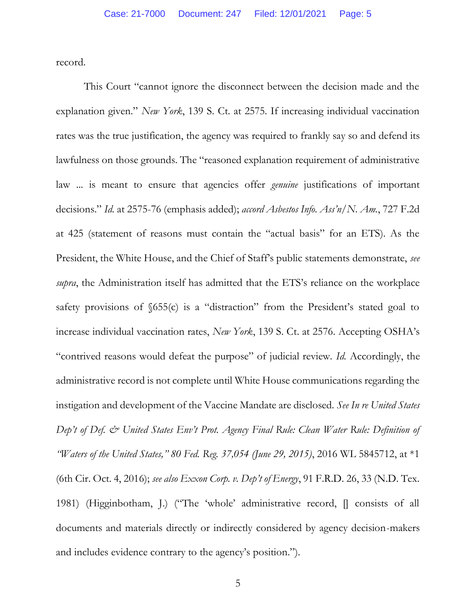record.

This Court "cannot ignore the disconnect between the decision made and the explanation given." *New York*, 139 S. Ct. at 2575. If increasing individual vaccination rates was the true justification, the agency was required to frankly say so and defend its lawfulness on those grounds. The "reasoned explanation requirement of administrative law ... is meant to ensure that agencies offer *genuine* justifications of important decisions." *Id.* at 2575-76 (emphasis added); *accord Asbestos Info. Ass'n/N. Am.*, 727 F.2d at 425 (statement of reasons must contain the "actual basis" for an ETS). As the President, the White House, and the Chief of Staff's public statements demonstrate, *see supra*, the Administration itself has admitted that the ETS's reliance on the workplace safety provisions of §655(c) is a "distraction" from the President's stated goal to increase individual vaccination rates, *New York*, 139 S. Ct. at 2576. Accepting OSHA's "contrived reasons would defeat the purpose" of judicial review. *Id.* Accordingly, the administrative record is not complete until White House communications regarding the instigation and development of the Vaccine Mandate are disclosed. *See In re United States Dep't of Def. & United States Env't Prot. Agency Final Rule: Clean Water Rule: Definition of "Waters of the United States," 80 Fed. Reg. 37,054 (June 29, 2015)*, 2016 WL 5845712, at \*1 (6th Cir. Oct. 4, 2016); *see also Exxon Corp. v. Dep't of Energy*, 91 F.R.D. 26, 33 (N.D. Tex. 1981) (Higginbotham, J.) ("The 'whole' administrative record, [] consists of all documents and materials directly or indirectly considered by agency decision-makers and includes evidence contrary to the agency's position.").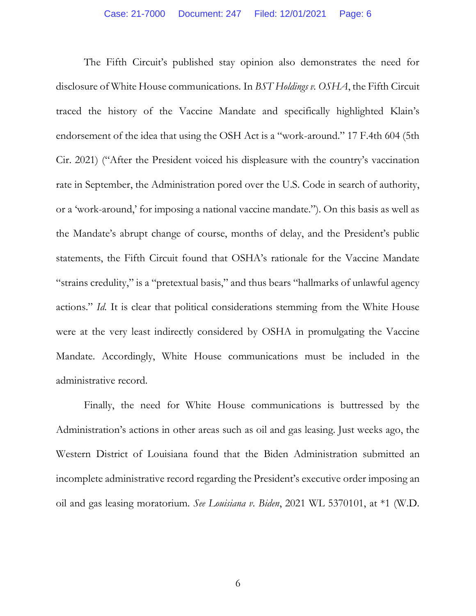The Fifth Circuit's published stay opinion also demonstrates the need for disclosure of White House communications. In *BST Holdings v. OSHA*, the Fifth Circuit traced the history of the Vaccine Mandate and specifically highlighted Klain's endorsement of the idea that using the OSH Act is a "work-around." 17 F.4th 604 (5th Cir. 2021) ("After the President voiced his displeasure with the country's vaccination rate in September, the Administration pored over the U.S. Code in search of authority, or a 'work-around,' for imposing a national vaccine mandate."). On this basis as well as the Mandate's abrupt change of course, months of delay, and the President's public statements, the Fifth Circuit found that OSHA's rationale for the Vaccine Mandate "strains credulity," is a "pretextual basis," and thus bears "hallmarks of unlawful agency actions." *Id.* It is clear that political considerations stemming from the White House were at the very least indirectly considered by OSHA in promulgating the Vaccine Mandate. Accordingly, White House communications must be included in the administrative record.

Finally, the need for White House communications is buttressed by the Administration's actions in other areas such as oil and gas leasing. Just weeks ago, the Western District of Louisiana found that the Biden Administration submitted an incomplete administrative record regarding the President's executive order imposing an oil and gas leasing moratorium. *See Louisiana v. Biden*, 2021 WL 5370101, at \*1 (W.D.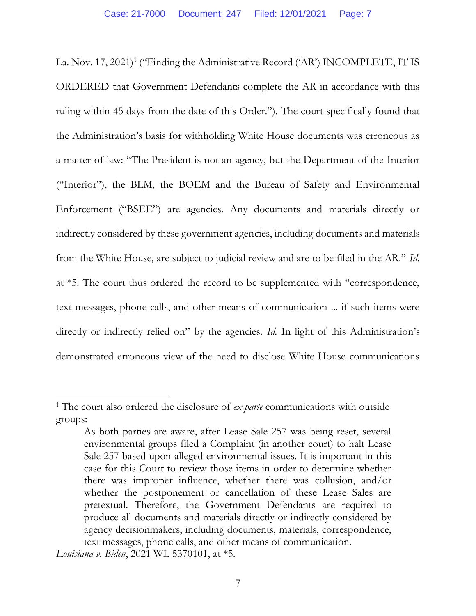La. Nov. 17, 2021)<sup>1</sup> ("Finding the Administrative Record ('AR') INCOMPLETE, IT IS ORDERED that Government Defendants complete the AR in accordance with this ruling within 45 days from the date of this Order."). The court specifically found that the Administration's basis for withholding White House documents was erroneous as a matter of law: "The President is not an agency, but the Department of the Interior ("Interior"), the BLM, the BOEM and the Bureau of Safety and Environmental Enforcement ("BSEE") are agencies. Any documents and materials directly or indirectly considered by these government agencies, including documents and materials from the White House, are subject to judicial review and are to be filed in the AR." *Id.*  at \*5. The court thus ordered the record to be supplemented with "correspondence, text messages, phone calls, and other means of communication ... if such items were directly or indirectly relied on" by the agencies. *Id.* In light of this Administration's demonstrated erroneous view of the need to disclose White House communications

<sup>1</sup> The court also ordered the disclosure of *ex parte* communications with outside groups:

As both parties are aware, after Lease Sale 257 was being reset, several environmental groups filed a Complaint (in another court) to halt Lease Sale 257 based upon alleged environmental issues. It is important in this case for this Court to review those items in order to determine whether there was improper influence, whether there was collusion, and/or whether the postponement or cancellation of these Lease Sales are pretextual. Therefore, the Government Defendants are required to produce all documents and materials directly or indirectly considered by agency decisionmakers, including documents, materials, correspondence, text messages, phone calls, and other means of communication.

*Louisiana v. Biden*, 2021 WL 5370101, at \*5.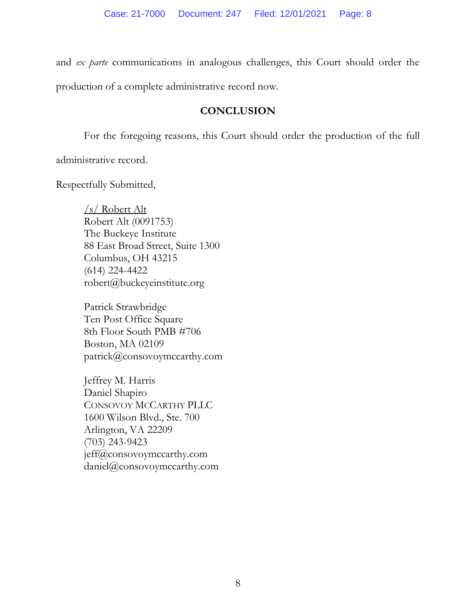and *ex parte* communications in analogous challenges, this Court should order the production of a complete administrative record now.

## **CONCLUSION**

For the foregoing reasons, this Court should order the production of the full

administrative record.

Respectfully Submitted,

/s/ Robert Alt Robert Alt (0091753) The Buckeye Institute 88 East Broad Street, Suite 1300 Columbus, OH 43215 (614) 224-4422 robert@buckeyeinstitute.org

Patrick Strawbridge Ten Post Office Square 8th Floor South PMB #706 Boston, MA 02109 patrick@consovoymccarthy.com

Jeffrey M. Harris Daniel Shapiro CONSOVOY MCCARTHY PLLC 1600 Wilson Blvd., Ste. 700 Arlington, VA 22209 (703) 243-9423 jeff@consovoymccarthy.com daniel@consovoymccarthy.com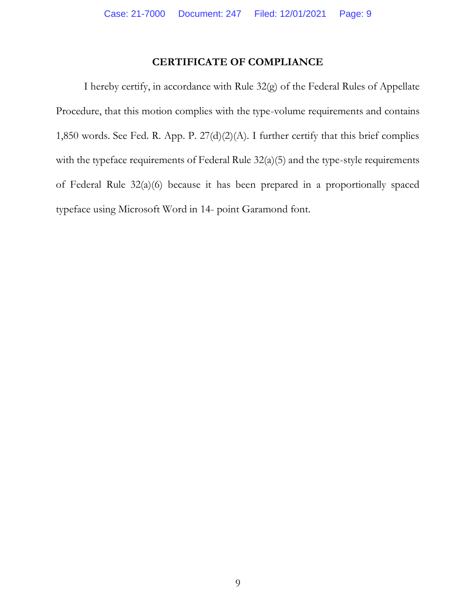## **CERTIFICATE OF COMPLIANCE**

I hereby certify, in accordance with Rule 32(g) of the Federal Rules of Appellate Procedure, that this motion complies with the type-volume requirements and contains 1,850 words. See Fed. R. App. P. 27(d)(2)(A). I further certify that this brief complies with the typeface requirements of Federal Rule 32(a)(5) and the type-style requirements of Federal Rule 32(a)(6) because it has been prepared in a proportionally spaced typeface using Microsoft Word in 14- point Garamond font.